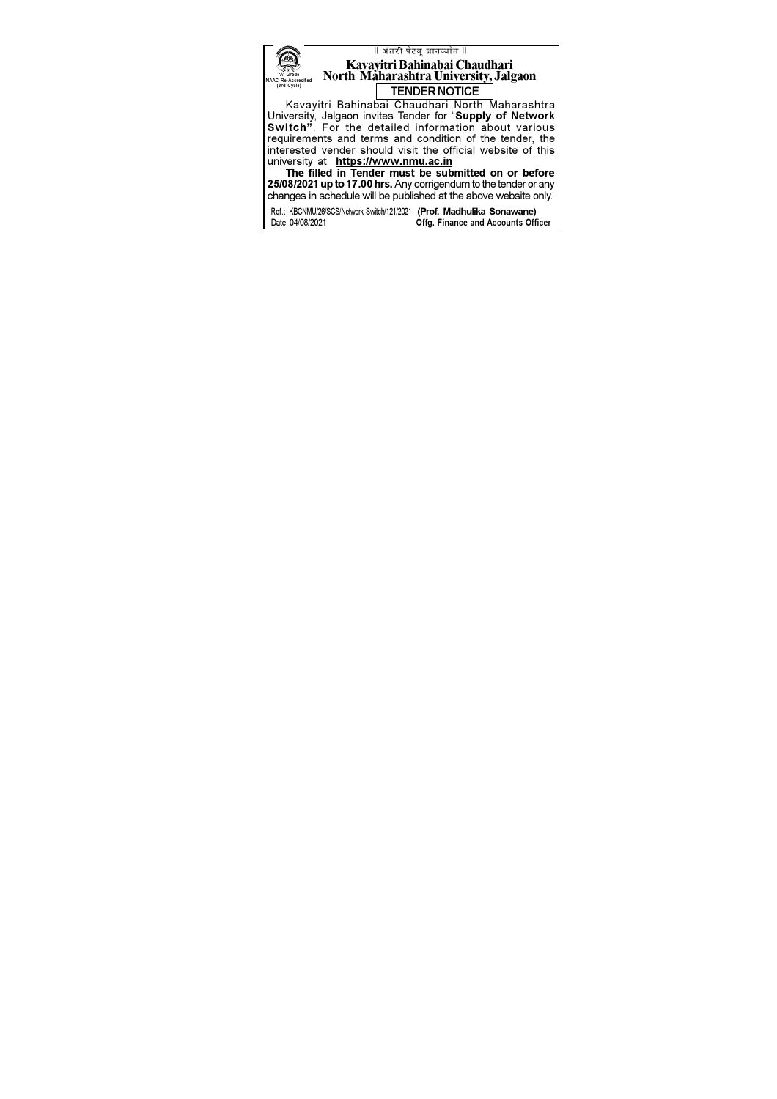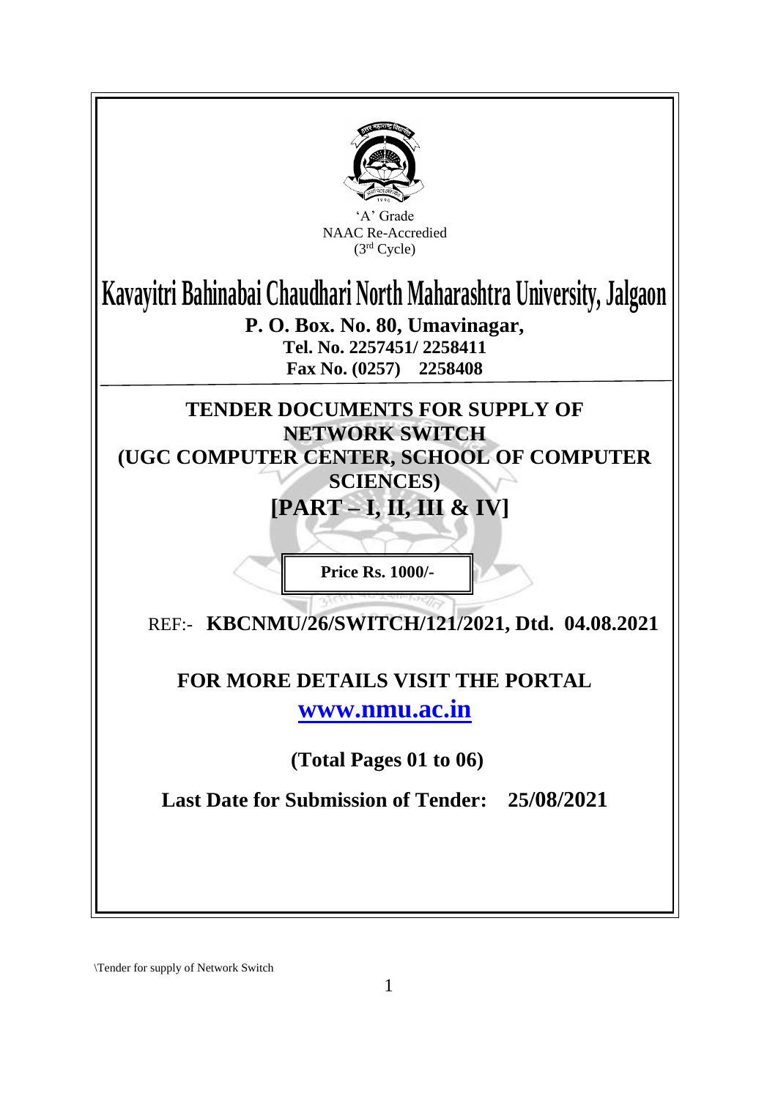

\Tender for supply of Network Switch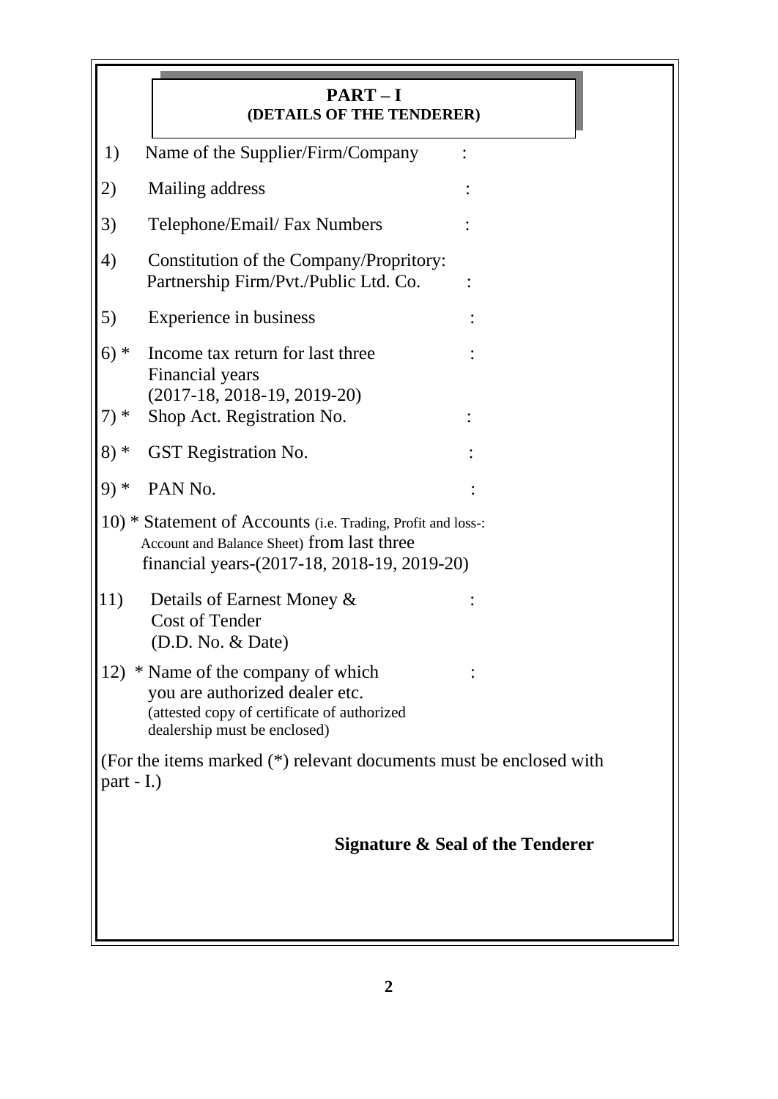|                                                                                                                                                           | $PART-I$<br>(DETAILS OF THE TENDERER)                                                                                                               |  |  |  |  |
|-----------------------------------------------------------------------------------------------------------------------------------------------------------|-----------------------------------------------------------------------------------------------------------------------------------------------------|--|--|--|--|
| 1)                                                                                                                                                        | Name of the Supplier/Firm/Company                                                                                                                   |  |  |  |  |
| 2)                                                                                                                                                        | Mailing address                                                                                                                                     |  |  |  |  |
| 3)                                                                                                                                                        | Telephone/Email/ Fax Numbers                                                                                                                        |  |  |  |  |
| 4)                                                                                                                                                        | Constitution of the Company/Propritory:<br>Partnership Firm/Pvt./Public Ltd. Co.                                                                    |  |  |  |  |
| 5)                                                                                                                                                        | Experience in business                                                                                                                              |  |  |  |  |
| $6)*$                                                                                                                                                     | Income tax return for last three                                                                                                                    |  |  |  |  |
| $7) *$                                                                                                                                                    | Financial years<br>$(2017-18, 2018-19, 2019-20)$<br>Shop Act. Registration No.                                                                      |  |  |  |  |
| $8) *$                                                                                                                                                    | GST Registration No.                                                                                                                                |  |  |  |  |
| $9)*$                                                                                                                                                     | PAN No.                                                                                                                                             |  |  |  |  |
| 10) * Statement of Accounts (i.e. Trading, Profit and loss-:<br>Account and Balance Sheet) from last three<br>financial years-(2017-18, 2018-19, 2019-20) |                                                                                                                                                     |  |  |  |  |
| 11)                                                                                                                                                       | Details of Earnest Money &<br><b>Cost of Tender</b><br>(D.D. No. & Date)                                                                            |  |  |  |  |
|                                                                                                                                                           | 12) * Name of the company of which<br>you are authorized dealer etc.<br>(attested copy of certificate of authorized<br>dealership must be enclosed) |  |  |  |  |
| (For the items marked (*) relevant documents must be enclosed with<br>part $-I$ .)                                                                        |                                                                                                                                                     |  |  |  |  |
|                                                                                                                                                           | Signature & Seal of the Tenderer                                                                                                                    |  |  |  |  |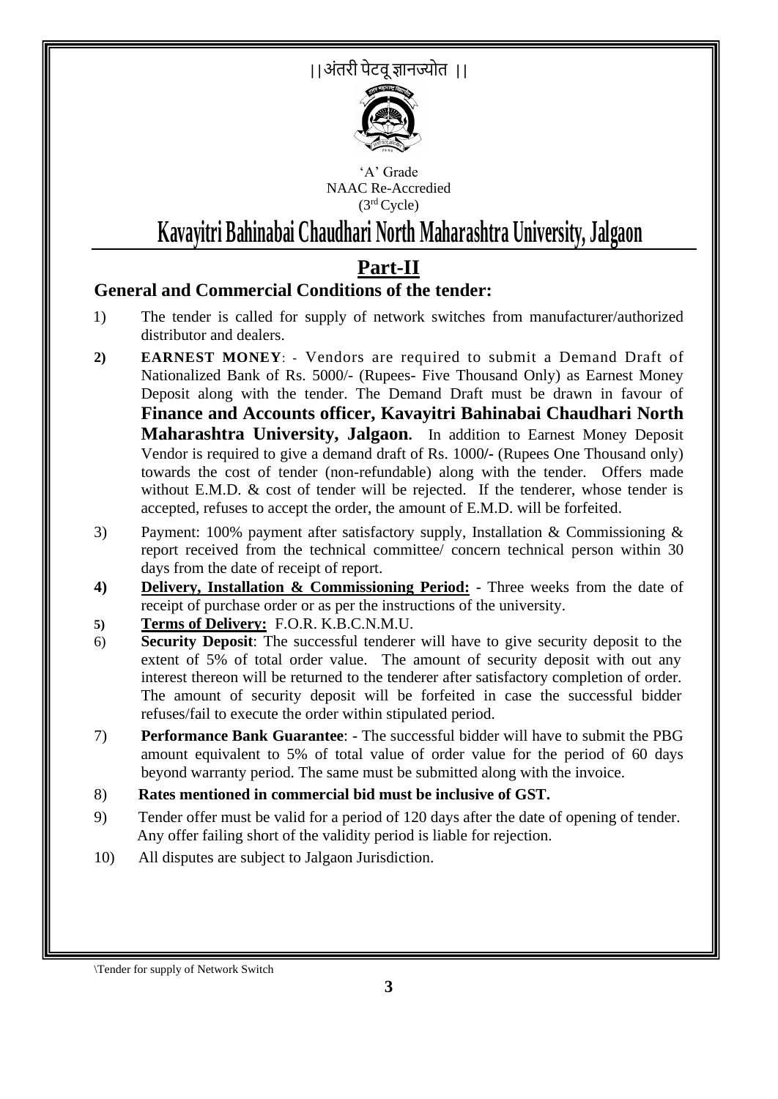||अंतरी पेटवूज्ञानज्योत ||



'A' Grade NAAC Re-Accredied (3rd Cycle)

# **Kavayitri Bahinabai Chaudhari North Maharashtra University, Jalgaon**

## **Part-II**

### **General and Commercial Conditions of the tender:**

- 1) The tender is called for supply of network switches from manufacturer/authorized distributor and dealers.
- **2) EARNEST MONEY**: Vendors are required to submit a Demand Draft of Nationalized Bank of Rs. 5000/- (Rupees- Five Thousand Only) as Earnest Money Deposit along with the tender. The Demand Draft must be drawn in favour of **Finance and Accounts officer, Kavayitri Bahinabai Chaudhari North Maharashtra University, Jalgaon.** In addition to Earnest Money Deposit Vendor is required to give a demand draft of Rs. 1000**/-** (Rupees One Thousand only) towards the cost of tender (non-refundable) along with the tender. Offers made without E.M.D.  $\&$  cost of tender will be rejected. If the tenderer, whose tender is accepted, refuses to accept the order, the amount of E.M.D. will be forfeited.
- 3) Payment: 100% payment after satisfactory supply, Installation & Commissioning & report received from the technical committee/ concern technical person within 30 days from the date of receipt of report.
- **4) Delivery, Installation & Commissioning Period:** Three weeks from the date of receipt of purchase order or as per the instructions of the university.
- **5) Terms of Delivery:** F.O.R. K.B.C.N.M.U.
- 6) **Security Deposit**: The successful tenderer will have to give security deposit to the extent of 5% of total order value. The amount of security deposit with out any interest thereon will be returned to the tenderer after satisfactory completion of order. The amount of security deposit will be forfeited in case the successful bidder refuses/fail to execute the order within stipulated period.
- 7) **Performance Bank Guarantee**: The successful bidder will have to submit the PBG amount equivalent to 5% of total value of order value for the period of 60 days beyond warranty period. The same must be submitted along with the invoice.
- 8) **Rates mentioned in commercial bid must be inclusive of GST.**
- 9) Tender offer must be valid for a period of 120 days after the date of opening of tender. Any offer failing short of the validity period is liable for rejection.
- 10) All disputes are subject to Jalgaon Jurisdiction.

\Tender for supply of Network Switch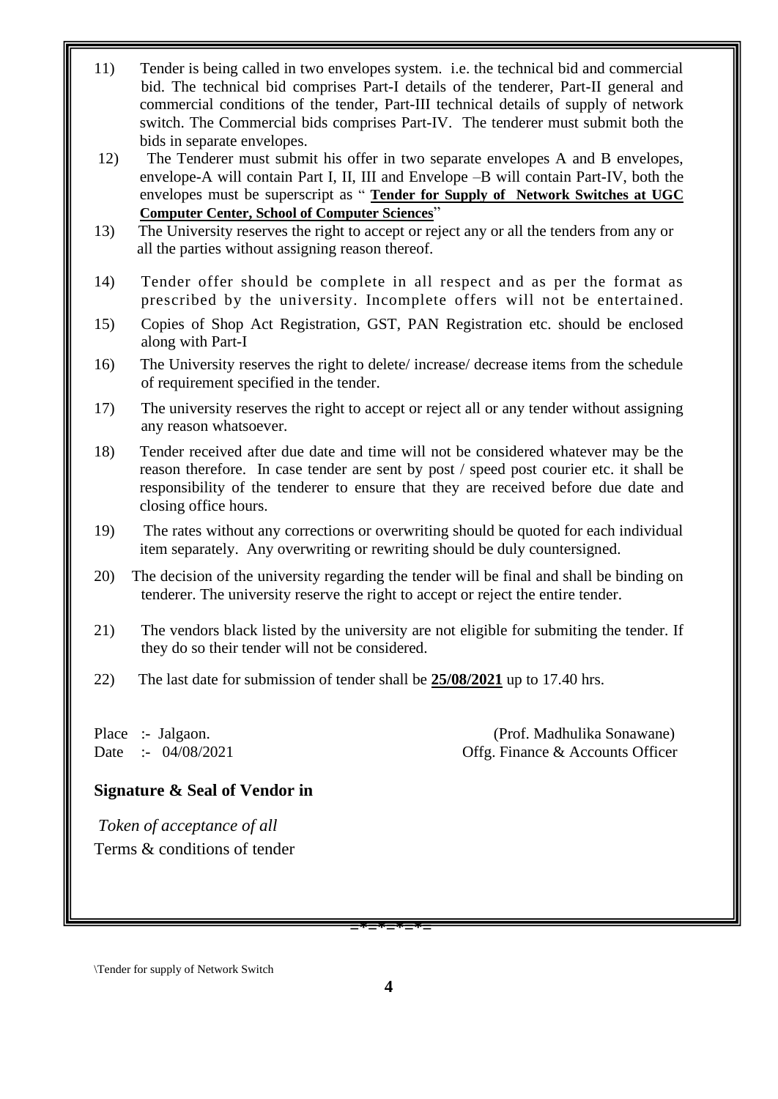- 11) Tender is being called in two envelopes system. i.e. the technical bid and commercial bid. The technical bid comprises Part-I details of the tenderer, Part-II general and commercial conditions of the tender, Part-III technical details of supply of network switch. The Commercial bids comprises Part-IV. The tenderer must submit both the bids in separate envelopes.
- 12) The Tenderer must submit his offer in two separate envelopes A and B envelopes, envelope-A will contain Part I, II, III and Envelope –B will contain Part-IV, both the envelopes must be superscript as " **Tender for Supply of Network Switches at UGC Computer Center, School of Computer Sciences**"
- 13) The University reserves the right to accept or reject any or all the tenders from any or all the parties without assigning reason thereof.
- 14) Tender offer should be complete in all respect and as per the format as prescribed by the university. Incomplete offers will not be entertained.
- 15) Copies of Shop Act Registration, GST, PAN Registration etc. should be enclosed along with Part-I
- 16) The University reserves the right to delete/ increase/ decrease items from the schedule of requirement specified in the tender.
- 17) The university reserves the right to accept or reject all or any tender without assigning any reason whatsoever.
- 18) Tender received after due date and time will not be considered whatever may be the reason therefore. In case tender are sent by post / speed post courier etc. it shall be responsibility of the tenderer to ensure that they are received before due date and closing office hours.
- 19) The rates without any corrections or overwriting should be quoted for each individual item separately. Any overwriting or rewriting should be duly countersigned.
- 20) The decision of the university regarding the tender will be final and shall be binding on tenderer. The university reserve the right to accept or reject the entire tender.
- 21) The vendors black listed by the university are not eligible for submiting the tender. If they do so their tender will not be considered.
- 22) The last date for submission of tender shall be **25/08/2021** up to 17.40 hrs.

Place :- Jalgaon. (Prof. Madhulika Sonawane) Date :- 04/08/2021 Offg. Finance & Accounts Officer

#### **Signature & Seal of Vendor in**

*Token of acceptance of all*  Terms & conditions of tender

**=\*=\*=\*=\*=**

\Tender for supply of Network Switch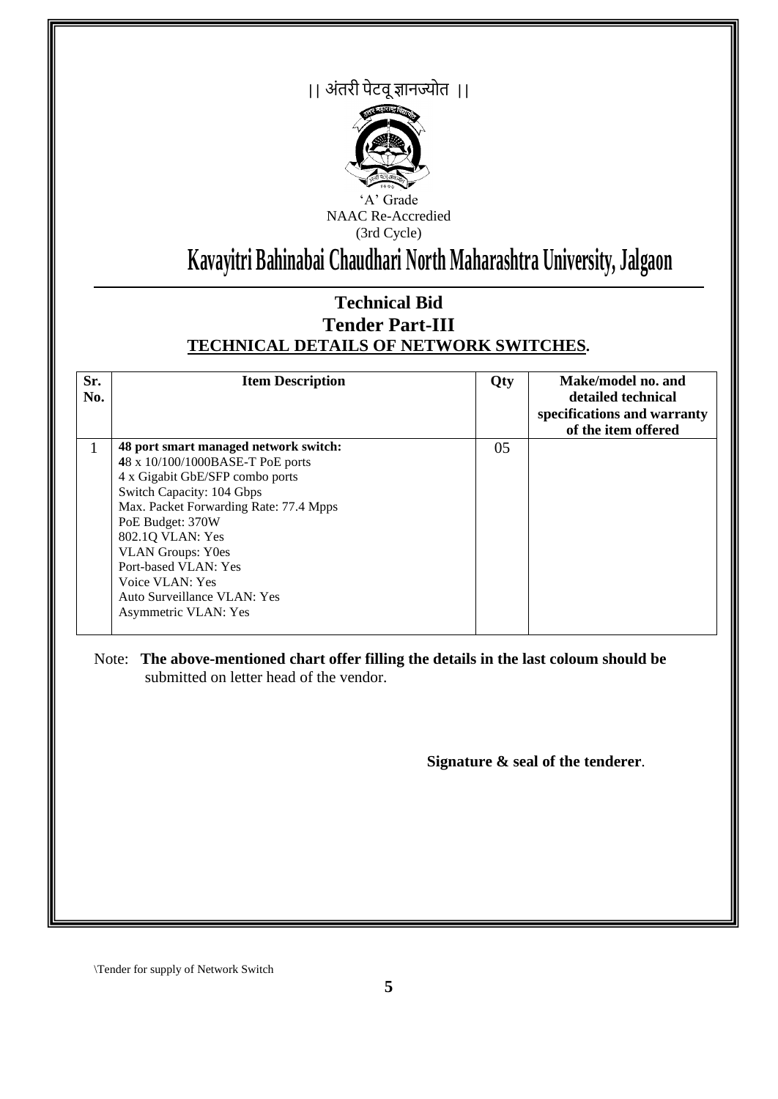## || अंतरी पेटवूज्ञानज्योत ||



'A' Grade NAAC Re-Accredied (3rd Cycle)

# **Kavayitri Bahinabai Chaudhari North Maharashtra University, Jalgaon**

### **Technical Bid Tender Part-III TECHNICAL DETAILS OF NETWORK SWITCHES.**

| Sr.<br>No. | <b>Item Description</b>                | Qty | Make/model no. and<br>detailed technical<br>specifications and warranty<br>of the item offered |
|------------|----------------------------------------|-----|------------------------------------------------------------------------------------------------|
| 1          | 48 port smart managed network switch:  | 05  |                                                                                                |
|            | 48 x 10/100/1000BASE-T PoE ports       |     |                                                                                                |
|            | 4 x Gigabit GbE/SFP combo ports        |     |                                                                                                |
|            | Switch Capacity: 104 Gbps              |     |                                                                                                |
|            | Max. Packet Forwarding Rate: 77.4 Mpps |     |                                                                                                |
|            | PoE Budget: 370W                       |     |                                                                                                |
|            | 802.10 VLAN: Yes                       |     |                                                                                                |
|            | <b>VLAN Groups: Y0es</b>               |     |                                                                                                |
|            | Port-based VLAN: Yes                   |     |                                                                                                |
|            | Voice VLAN: Yes                        |     |                                                                                                |
|            | Auto Surveillance VLAN: Yes            |     |                                                                                                |
|            | Asymmetric VLAN: Yes                   |     |                                                                                                |

Note: **The above-mentioned chart offer filling the details in the last coloum should be**  submitted on letter head of the vendor.

**Signature & seal of the tenderer**.

\Tender for supply of Network Switch

 $\overline{a}$